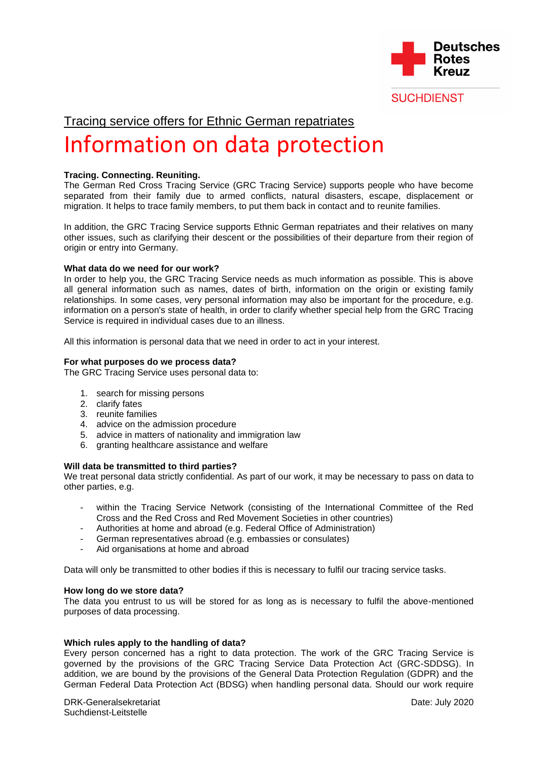

**SUCHDIENST** 

# Tracing service offers for Ethnic German repatriates

# Information on data protection

## **Tracing. Connecting. Reuniting.**

The German Red Cross Tracing Service (GRC Tracing Service) supports people who have become separated from their family due to armed conflicts, natural disasters, escape, displacement or migration. It helps to trace family members, to put them back in contact and to reunite families.

In addition, the GRC Tracing Service supports Ethnic German repatriates and their relatives on many other issues, such as clarifying their descent or the possibilities of their departure from their region of origin or entry into Germany.

#### **What data do we need for our work?**

In order to help you, the GRC Tracing Service needs as much information as possible. This is above all general information such as names, dates of birth, information on the origin or existing family relationships. In some cases, very personal information may also be important for the procedure, e.g. information on a person's state of health, in order to clarify whether special help from the GRC Tracing Service is required in individual cases due to an illness.

All this information is personal data that we need in order to act in your interest.

#### **For what purposes do we process data?**

The GRC Tracing Service uses personal data to:

- 1. search for missing persons
- 2. clarify fates
- 3. reunite families
- 4. advice on the admission procedure
- 5. advice in matters of nationality and immigration law
- 6. granting healthcare assistance and welfare

#### **Will data be transmitted to third parties?**

We treat personal data strictly confidential. As part of our work, it may be necessary to pass on data to other parties, e.g.

- within the Tracing Service Network (consisting of the International Committee of the Red Cross and the Red Cross and Red Movement Societies in other countries)
- Authorities at home and abroad (e.g. Federal Office of Administration)
- German representatives abroad (e.g. embassies or consulates)
- Aid organisations at home and abroad

Data will only be transmitted to other bodies if this is necessary to fulfil our tracing service tasks.

#### **How long do we store data?**

The data you entrust to us will be stored for as long as is necessary to fulfil the above-mentioned purposes of data processing.

#### **Which rules apply to the handling of data?**

Every person concerned has a right to data protection. The work of the GRC Tracing Service is governed by the provisions of the GRC Tracing Service Data Protection Act (GRC-SDDSG). In addition, we are bound by the provisions of the General Data Protection Regulation (GDPR) and the German Federal Data Protection Act (BDSG) when handling personal data. Should our work require